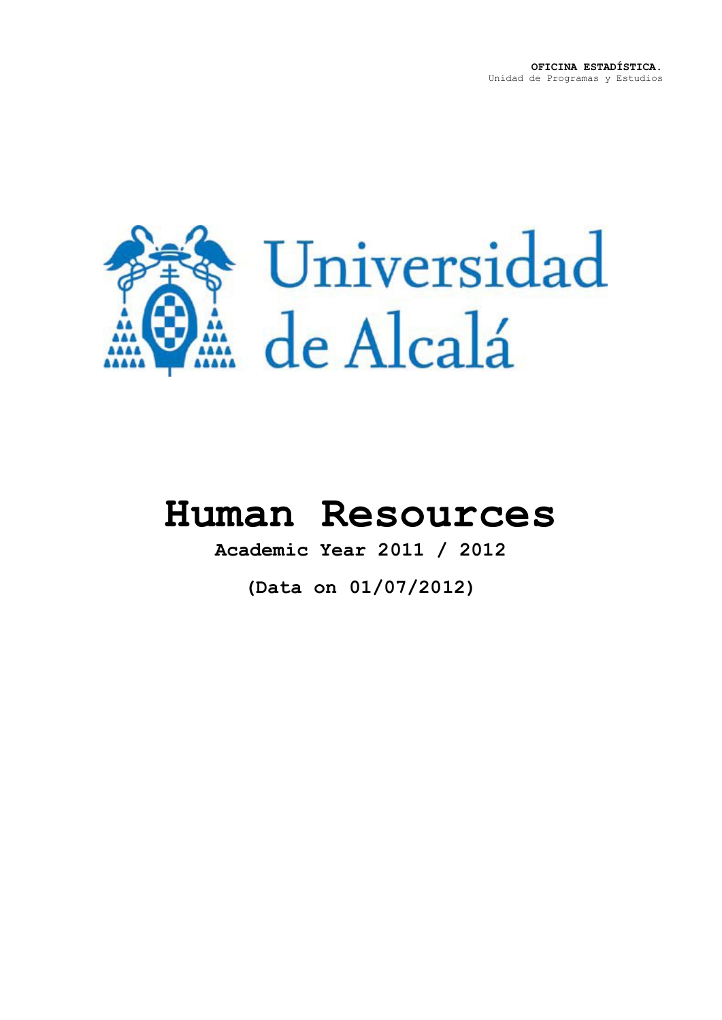

# **Human Resources**

**Academic Year 2011 / 2012**

**(Data on 01/07/2012)**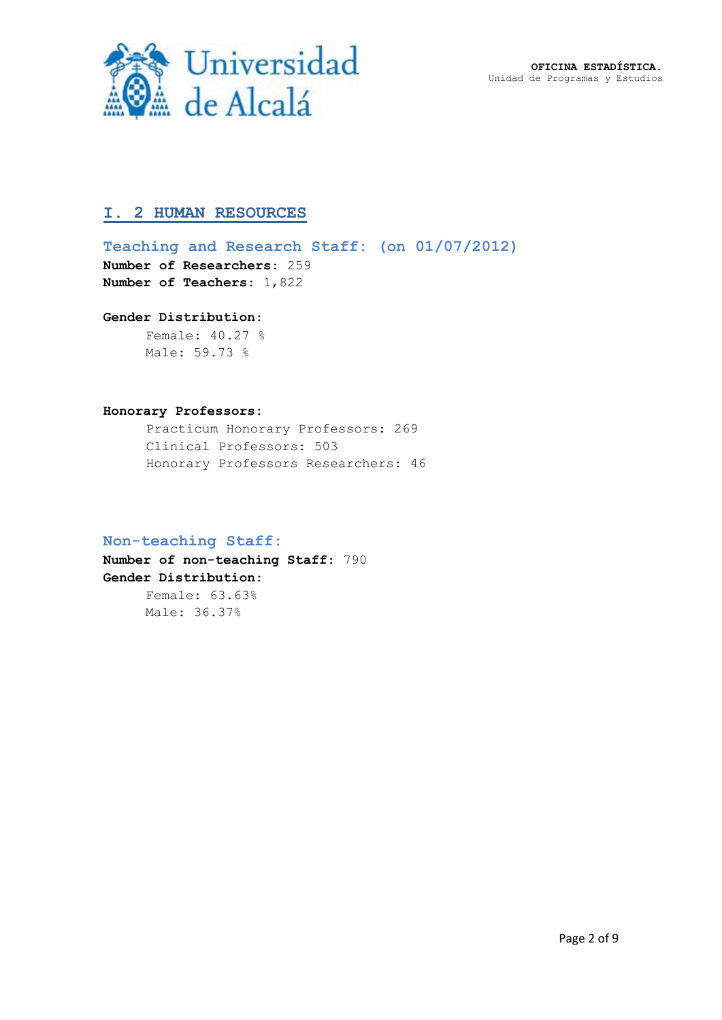**OFICINA ESTADÍSTICA.** Unidad de Programas y Estudios



## **I. 2 HUMAN RESOURCES**

**Teaching and Research Staff: (on 01/07/2012) Number of Researchers**: 259 **Number of Teachers: 1,822** 

#### **Gender Distribution**:

Female: 40.27 % Male: 59.73 %

#### **Honorary Professors:**

Practicum Honorary Professors: 269 Clinical Professors: 503 Honorary Professors Researchers: 46

#### **Non-teaching Staff:**

**Number of non-teaching Staff**: 790 **Gender Distribution**: Female: 63.63%

Male: 36.37%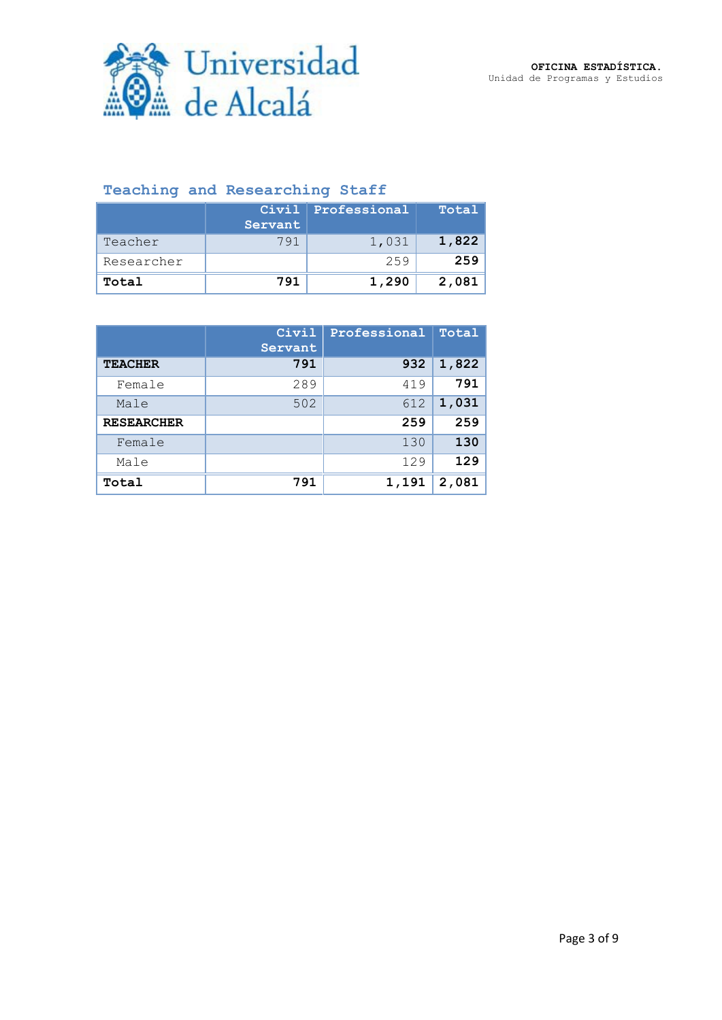

# **Teaching and Researching Staff**

|            |         | Civil Professional | Total |
|------------|---------|--------------------|-------|
|            | Servant |                    |       |
| Teacher    | 791     | 1,031              | 1,822 |
| Researcher |         | 259                | 259   |
| Total      | 791     | 1,290              | 2,081 |

|                   | Civil<br>Servant | Professional | Total |
|-------------------|------------------|--------------|-------|
| <b>TEACHER</b>    | 791              | 932          | 1,822 |
| Female            | 289              | 419          | 791   |
| Male              | 502              | 612          | 1,031 |
| <b>RESEARCHER</b> |                  | 259          | 259   |
| Female            |                  | 130          | 130   |
| Male              |                  | 129          | 129   |
| Total             | 791              | 1,191        | 2,081 |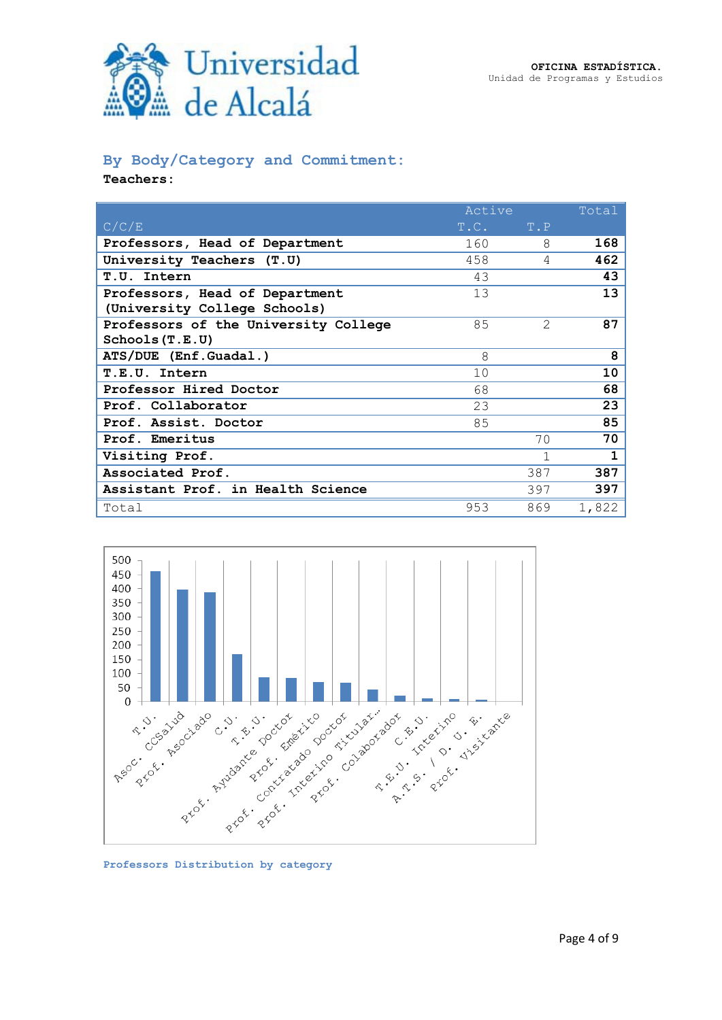

## **By Body/Category and Commitment:**

**Teachers:**

|                                      | Active        |               | Total |
|--------------------------------------|---------------|---------------|-------|
| C/C/E                                | $T.C.$ $T.P.$ |               |       |
| Professors, Head of Department       | 160           | 8             | 168   |
| University Teachers (T.U)            | 458           | 4             | 462   |
| T.U. Intern                          | 43            |               | 43    |
| Professors, Head of Department       | 13            |               | 13    |
| (University College Schools)         |               |               |       |
| Professors of the University College | 85            | $\mathcal{L}$ | 87    |
| Schools(T.E.U)                       |               |               |       |
| ATS/DUE (Enf.Guadal.)                | 8             |               | 8     |
| T.E.U. Intern                        | 10            |               | 10    |
| Professor Hired Doctor               | 68            |               | 68    |
| Prof. Collaborator                   | 23            |               | 23    |
| Prof. Assist. Doctor                 | 85            |               | 85    |
| Prof. Emeritus                       |               | 70            | 70    |
| Visiting Prof.                       |               | 1             | 1     |
| Associated Prof.                     |               | 387           | 387   |
| Assistant Prof. in Health Science    |               | 397           | 397   |
| Total                                | 953           | 869           | 1,822 |



**Professors Distribution by category**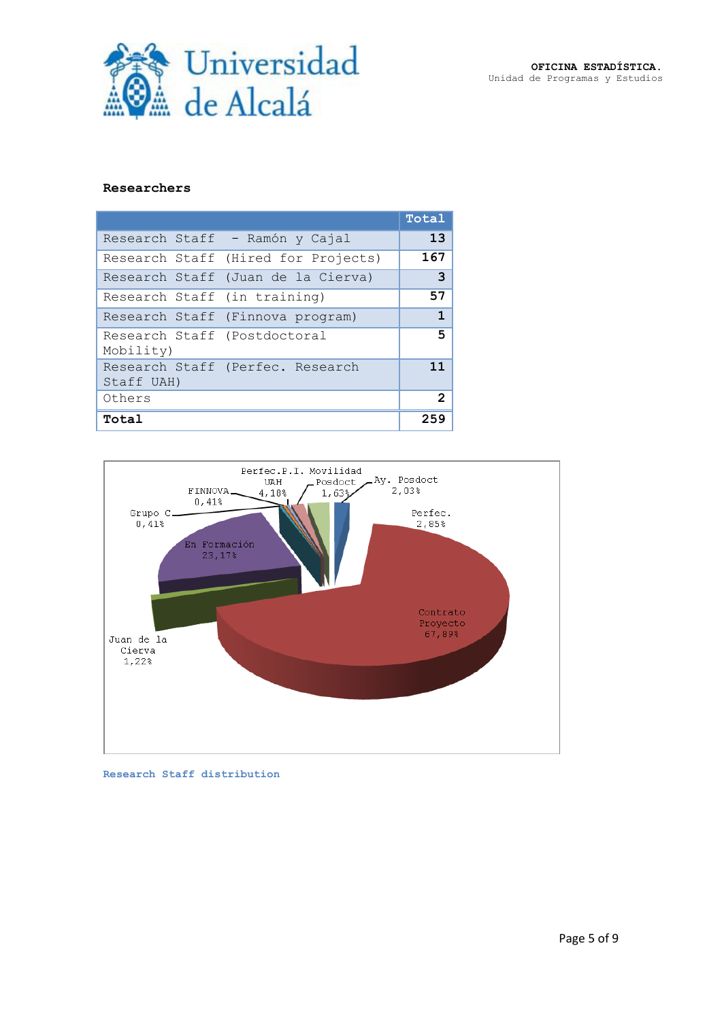

#### **Researchers**

|                                           |                                     | Total |
|-------------------------------------------|-------------------------------------|-------|
|                                           | Research Staff - Ramón y Cajal      | 13    |
|                                           | Research Staff (Hired for Projects) | 167   |
|                                           | Research Staff (Juan de la Cierva)  | 3     |
| Research Staff (in training)              |                                     | 57    |
|                                           | Research Staff (Finnova program)    | 1     |
| Research Staff (Postdoctoral<br>Mobility) |                                     | 5     |
| Staff UAH)                                | Research Staff (Perfec. Research    | 11    |
| Others                                    |                                     | 2     |
| Total                                     |                                     | 259   |



**Research Staff distribution**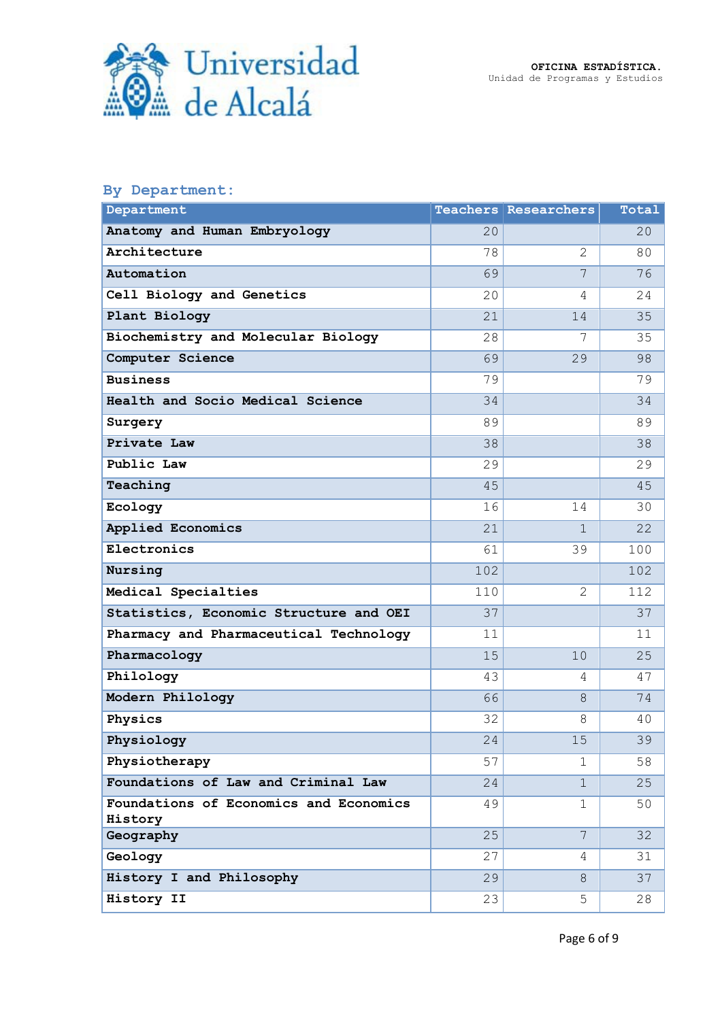



# **By Department:**

| Department                                        |     | <b>Teachers Researchers</b> | Total |
|---------------------------------------------------|-----|-----------------------------|-------|
| Anatomy and Human Embryology                      | 20  |                             | 20    |
| Architecture                                      | 78  | 2                           | 80    |
| Automation                                        | 69  | 7                           | 76    |
| Cell Biology and Genetics                         | 20  | 4                           | 24    |
| Plant Biology                                     | 21  | 14                          | 35    |
| Biochemistry and Molecular Biology                | 28  | 7                           | 35    |
| Computer Science                                  | 69  | 29                          | 98    |
| <b>Business</b>                                   | 79  |                             | 79    |
| Health and Socio Medical Science                  | 34  |                             | 34    |
| Surgery                                           | 89  |                             | 89    |
| Private Law                                       | 38  |                             | 38    |
| Public Law                                        | 29  |                             | 29    |
| Teaching                                          | 45  |                             | 45    |
| Ecology                                           | 16  | 14                          | 30    |
| Applied Economics                                 | 21  | $\mathbf{1}$                | 22    |
| Electronics                                       | 61  | 39                          | 100   |
| Nursing                                           | 102 |                             | 102   |
| Medical Specialties                               | 110 | 2                           | 112   |
| Statistics, Economic Structure and OEI            | 37  |                             | 37    |
| Pharmacy and Pharmaceutical Technology            | 11  |                             | 11    |
| Pharmacology                                      | 15  | 10                          | 25    |
| Philology                                         | 43  | 4                           | 47    |
| Modern Philology                                  | 66  | 8                           | 74    |
| Physics                                           | 32  | 8                           | 40    |
| Physiology                                        | 24  | 15                          | 39    |
| Physiotherapy                                     | 57  | $\mathbf 1$                 | 58    |
| Foundations of Law and Criminal Law               | 24  | $\mathbf{1}$                | 25    |
| Foundations of Economics and Economics<br>History | 49  | $\mathbf 1$                 | 50    |
| Geography                                         | 25  | $7\phantom{.0}$             | 32    |
| Geology                                           | 27  | 4                           | 31    |
| History I and Philosophy                          | 29  | 8                           | 37    |
| History II                                        | 23  | 5                           | 28    |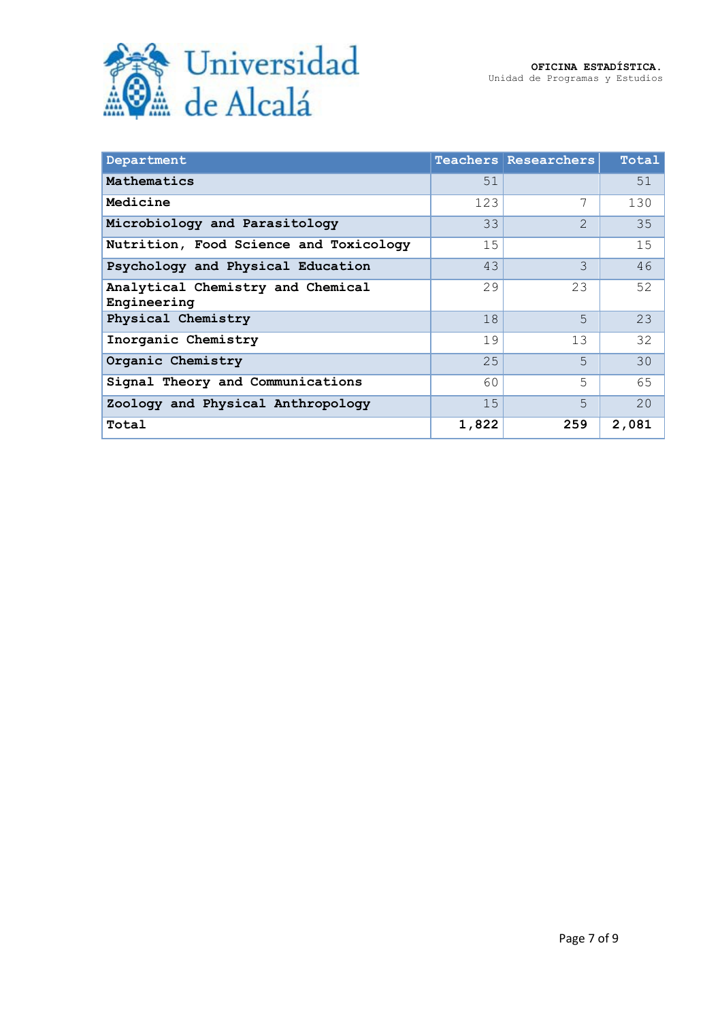

| Department                                       |       | <b>Teachers Researchers</b> | Total |
|--------------------------------------------------|-------|-----------------------------|-------|
| Mathematics                                      | 51    |                             | 51    |
| Medicine                                         | 123   | 7                           | 130   |
| Microbiology and Parasitology                    | 33    | $\mathcal{D}_{\mathcal{L}}$ | 35    |
| Nutrition, Food Science and Toxicology           | 15    |                             | 15    |
| Psychology and Physical Education                | 43    | 3.                          | 46    |
| Analytical Chemistry and Chemical<br>Engineering | 29    | 23                          | 52    |
| Physical Chemistry                               | 18    | 5.                          | 23    |
| Inorganic Chemistry                              | 19    | 13                          | 32    |
| Organic Chemistry                                | 25    | 5.                          | 30    |
| Signal Theory and Communications                 | 60    | 5                           | 65    |
| Zoology and Physical Anthropology                | 15    | 5                           | 20    |
| Total                                            | 1,822 | 259                         | 2,081 |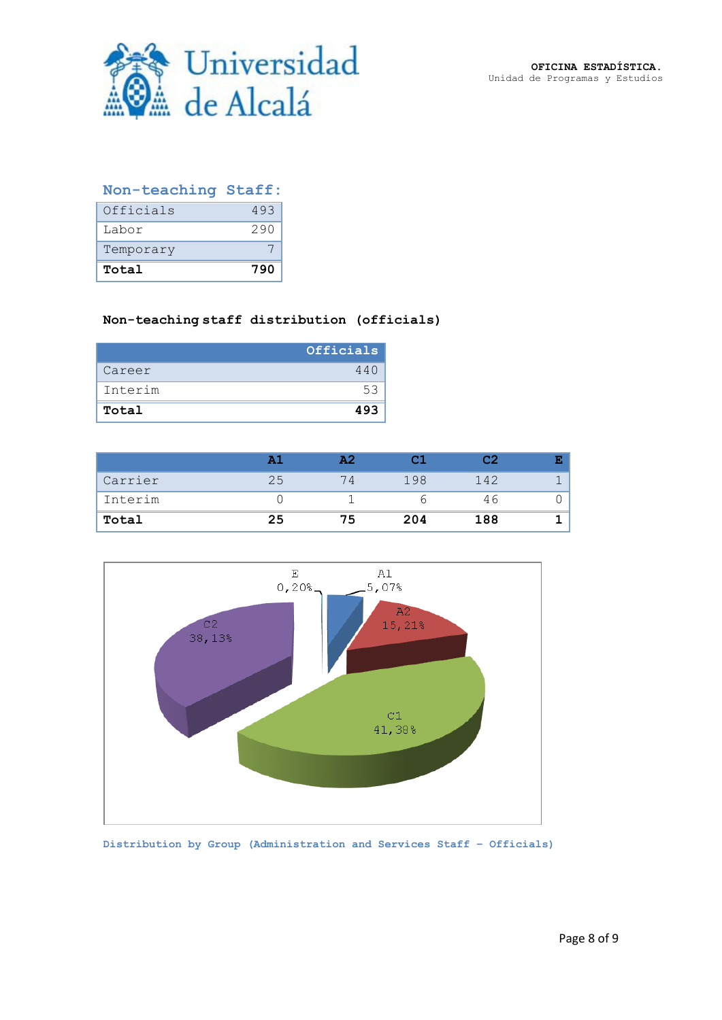

# **Non-teaching Staff:**

| Officials<br>Labor | 493<br>290 |
|--------------------|------------|
| Temporary          |            |
| Total              | 790        |

### **Non-teaching staff distribution (officials)**

|         | Officials |
|---------|-----------|
| Career  | 440       |
| Interim | 53        |
| Total   | 493       |

|         |    | כ ב |     | C <sub>2</sub> |  |
|---------|----|-----|-----|----------------|--|
| Carrier |    | 74  | 198 | 142            |  |
| Interim |    |     |     | 46             |  |
| Total   | 25 | 75  | 204 | 188            |  |



**Distribution by Group (Administration and Services Staff – Officials)**